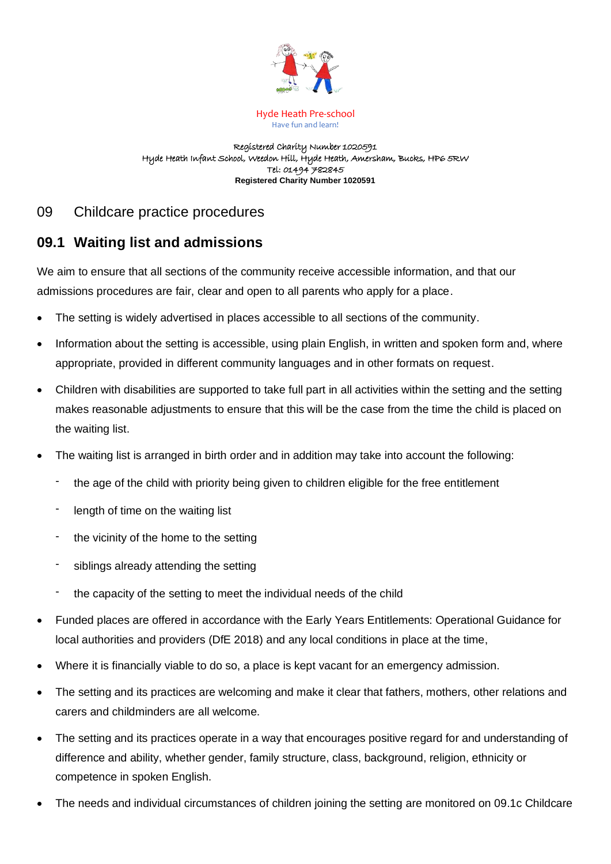

Hyde Heath Pre-school Have fun and learn!

Registered Charity Number 1020591 Hyde Heath Infant School, Weedon Hill, Hyde Heath, Amersham, Bucks, HP6 5RW Tel: 01494 782845 **Registered Charity Number 1020591**

# 09 Childcare practice procedures

# **09.1 Waiting list and admissions**

We aim to ensure that all sections of the community receive accessible information, and that our admissions procedures are fair, clear and open to all parents who apply for a place.

- The setting is widely advertised in places accessible to all sections of the community.
- Information about the setting is accessible, using plain English, in written and spoken form and, where appropriate, provided in different community languages and in other formats on request.
- Children with disabilities are supported to take full part in all activities within the setting and the setting makes reasonable adjustments to ensure that this will be the case from the time the child is placed on the waiting list.
- The waiting list is arranged in birth order and in addition may take into account the following:
	- the age of the child with priority being given to children eligible for the free entitlement
	- length of time on the waiting list
	- the vicinity of the home to the setting
	- siblings already attending the setting
	- the capacity of the setting to meet the individual needs of the child
- Funded places are offered in accordance with the Early Years Entitlements: Operational Guidance for local authorities and providers (DfE 2018) and any local conditions in place at the time,
- Where it is financially viable to do so, a place is kept vacant for an emergency admission.
- The setting and its practices are welcoming and make it clear that fathers, mothers, other relations and carers and childminders are all welcome.
- The setting and its practices operate in a way that encourages positive regard for and understanding of difference and ability, whether gender, family structure, class, background, religion, ethnicity or competence in spoken English.
- The needs and individual circumstances of children joining the setting are monitored on 09.1c Childcare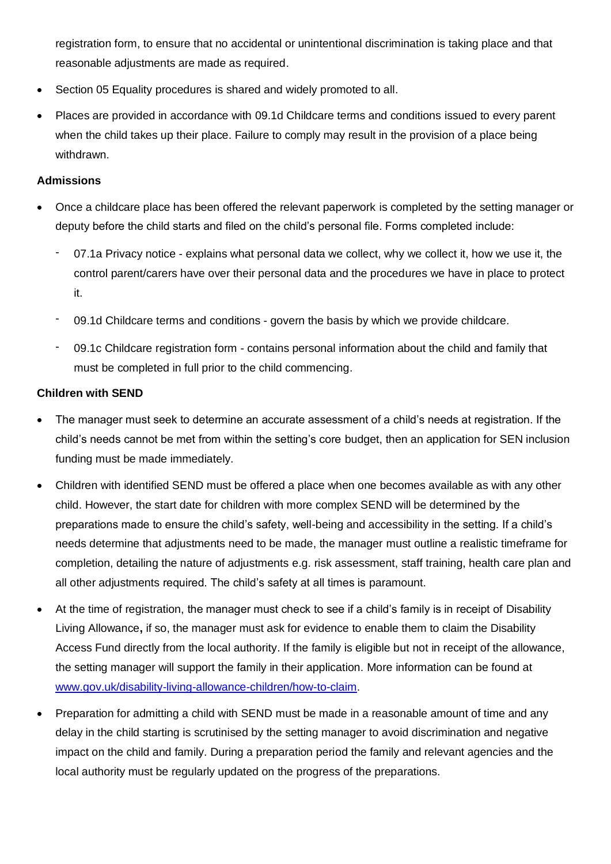registration form, to ensure that no accidental or unintentional discrimination is taking place and that reasonable adjustments are made as required.

- Section 05 Equality procedures is shared and widely promoted to all.
- Places are provided in accordance with 09.1d Childcare terms and conditions issued to every parent when the child takes up their place. Failure to comply may result in the provision of a place being withdrawn.

## **Admissions**

- Once a childcare place has been offered the relevant paperwork is completed by the setting manager or deputy before the child starts and filed on the child's personal file. Forms completed include:
	- 07.1a Privacy notice explains what personal data we collect, why we collect it, how we use it, the control parent/carers have over their personal data and the procedures we have in place to protect it.
	- 09.1d Childcare terms and conditions govern the basis by which we provide childcare.
	- 09.1c Childcare registration form contains personal information about the child and family that must be completed in full prior to the child commencing.

## **Children with SEND**

- The manager must seek to determine an accurate assessment of a child's needs at registration. If the child's needs cannot be met from within the setting's core budget, then an application for SEN inclusion funding must be made immediately.
- Children with identified SEND must be offered a place when one becomes available as with any other child. However, the start date for children with more complex SEND will be determined by the preparations made to ensure the child's safety, well-being and accessibility in the setting. If a child's needs determine that adjustments need to be made, the manager must outline a realistic timeframe for completion, detailing the nature of adjustments e.g. risk assessment, staff training, health care plan and all other adjustments required. The child's safety at all times is paramount.
- At the time of registration, the manager must check to see if a child's family is in receipt of Disability Living Allowance**,** if so, the manager must ask for evidence to enable them to claim the Disability Access Fund directly from the local authority. If the family is eligible but not in receipt of the allowance, the setting manager will support the family in their application. More information can be found at [www.gov.uk/disability-living-allowance-children/how-to-claim.](http://www.gov.uk/disability-living-allowance-children/how-to-claim)
- Preparation for admitting a child with SEND must be made in a reasonable amount of time and any delay in the child starting is scrutinised by the setting manager to avoid discrimination and negative impact on the child and family. During a preparation period the family and relevant agencies and the local authority must be regularly updated on the progress of the preparations.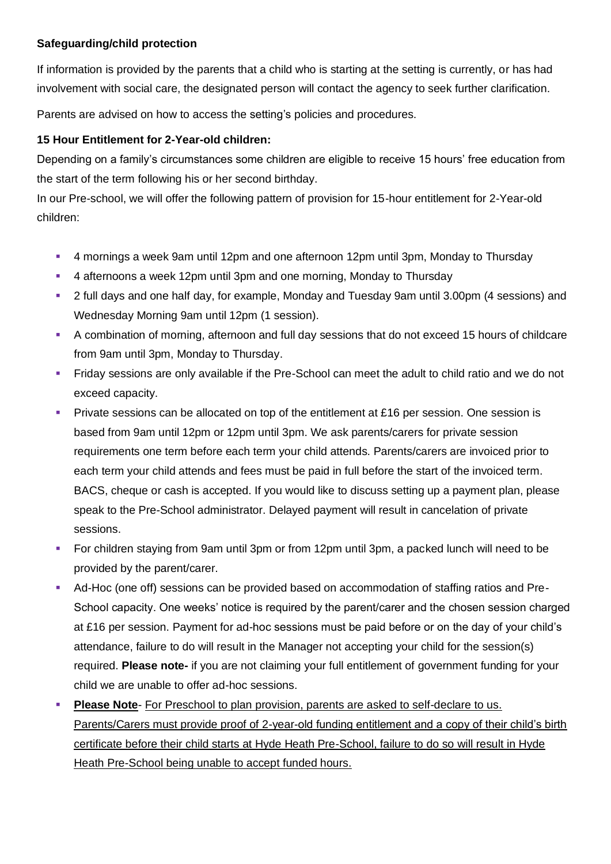## **Safeguarding/child protection**

If information is provided by the parents that a child who is starting at the setting is currently, or has had involvement with social care, the designated person will contact the agency to seek further clarification.

Parents are advised on how to access the setting's policies and procedures.

## **15 Hour Entitlement for 2-Year-old children:**

Depending on a family's circumstances some children are eligible to receive 15 hours' free education from the start of the term following his or her second birthday.

In our Pre-school, we will offer the following pattern of provision for 15-hour entitlement for 2-Year-old children:

- 4 mornings a week 9am until 12pm and one afternoon 12pm until 3pm, Monday to Thursday
- 4 afternoons a week 12pm until 3pm and one morning, Monday to Thursday
- 2 full days and one half day, for example, Monday and Tuesday 9am until 3.00pm (4 sessions) and Wednesday Morning 9am until 12pm (1 session).
- A combination of morning, afternoon and full day sessions that do not exceed 15 hours of childcare from 9am until 3pm, Monday to Thursday.
- **EXT** Fridav sessions are only available if the Pre-School can meet the adult to child ratio and we do not exceed capacity.
- Private sessions can be allocated on top of the entitlement at £16 per session. One session is based from 9am until 12pm or 12pm until 3pm. We ask parents/carers for private session requirements one term before each term your child attends. Parents/carers are invoiced prior to each term your child attends and fees must be paid in full before the start of the invoiced term. BACS, cheque or cash is accepted. If you would like to discuss setting up a payment plan, please speak to the Pre-School administrator. Delayed payment will result in cancelation of private sessions.
- For children staying from 9am until 3pm or from 12pm until 3pm, a packed lunch will need to be provided by the parent/carer.
- Ad-Hoc (one off) sessions can be provided based on accommodation of staffing ratios and Pre-School capacity. One weeks' notice is required by the parent/carer and the chosen session charged at £16 per session. Payment for ad-hoc sessions must be paid before or on the day of your child's attendance, failure to do will result in the Manager not accepting your child for the session(s) required. **Please note-** if you are not claiming your full entitlement of government funding for your child we are unable to offer ad-hoc sessions.
- **Please Note-** For Preschool to plan provision, parents are asked to self-declare to us. Parents/Carers must provide proof of 2-year-old funding entitlement and a copy of their child's birth certificate before their child starts at Hyde Heath Pre-School, failure to do so will result in Hyde Heath Pre-School being unable to accept funded hours.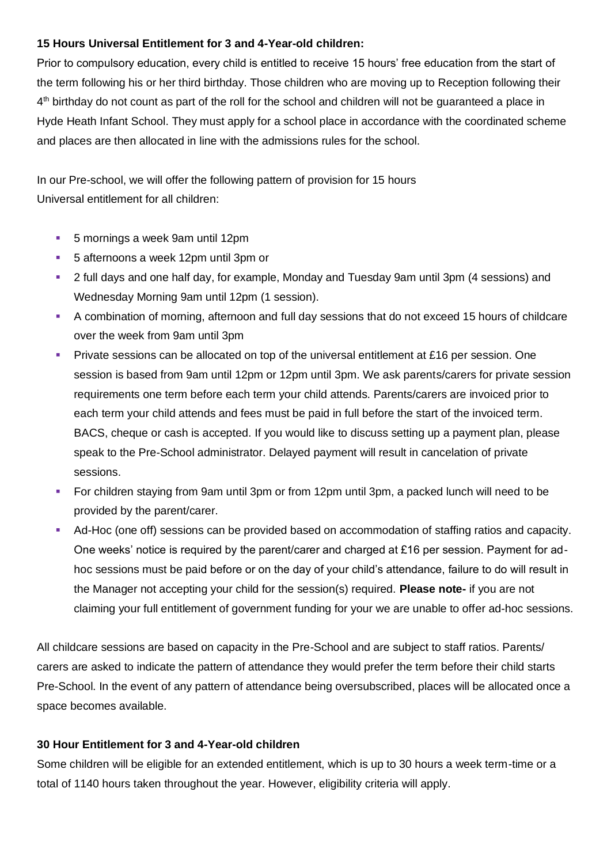## **15 Hours Universal Entitlement for 3 and 4-Year-old children:**

Prior to compulsory education, every child is entitled to receive 15 hours' free education from the start of the term following his or her third birthday. Those children who are moving up to Reception following their 4<sup>th</sup> birthday do not count as part of the roll for the school and children will not be guaranteed a place in Hyde Heath Infant School. They must apply for a school place in accordance with the coordinated scheme and places are then allocated in line with the admissions rules for the school.

In our Pre-school, we will offer the following pattern of provision for 15 hours Universal entitlement for all children:

- 5 mornings a week 9am until 12pm
- 5 afternoons a week 12pm until 3pm or
- 2 full days and one half day, for example, Monday and Tuesday 9am until 3pm (4 sessions) and Wednesday Morning 9am until 12pm (1 session).
- A combination of morning, afternoon and full day sessions that do not exceed 15 hours of childcare over the week from 9am until 3pm
- Private sessions can be allocated on top of the universal entitlement at £16 per session. One session is based from 9am until 12pm or 12pm until 3pm. We ask parents/carers for private session requirements one term before each term your child attends. Parents/carers are invoiced prior to each term your child attends and fees must be paid in full before the start of the invoiced term. BACS, cheque or cash is accepted. If you would like to discuss setting up a payment plan, please speak to the Pre-School administrator. Delayed payment will result in cancelation of private sessions.
- For children staying from 9am until 3pm or from 12pm until 3pm, a packed lunch will need to be provided by the parent/carer.
- Ad-Hoc (one off) sessions can be provided based on accommodation of staffing ratios and capacity. One weeks' notice is required by the parent/carer and charged at £16 per session. Payment for adhoc sessions must be paid before or on the day of your child's attendance, failure to do will result in the Manager not accepting your child for the session(s) required. **Please note-** if you are not claiming your full entitlement of government funding for your we are unable to offer ad-hoc sessions.

All childcare sessions are based on capacity in the Pre-School and are subject to staff ratios. Parents/ carers are asked to indicate the pattern of attendance they would prefer the term before their child starts Pre-School. In the event of any pattern of attendance being oversubscribed, places will be allocated once a space becomes available.

#### **30 Hour Entitlement for 3 and 4-Year-old children**

Some children will be eligible for an extended entitlement, which is up to 30 hours a week term-time or a total of 1140 hours taken throughout the year. However, eligibility criteria will apply.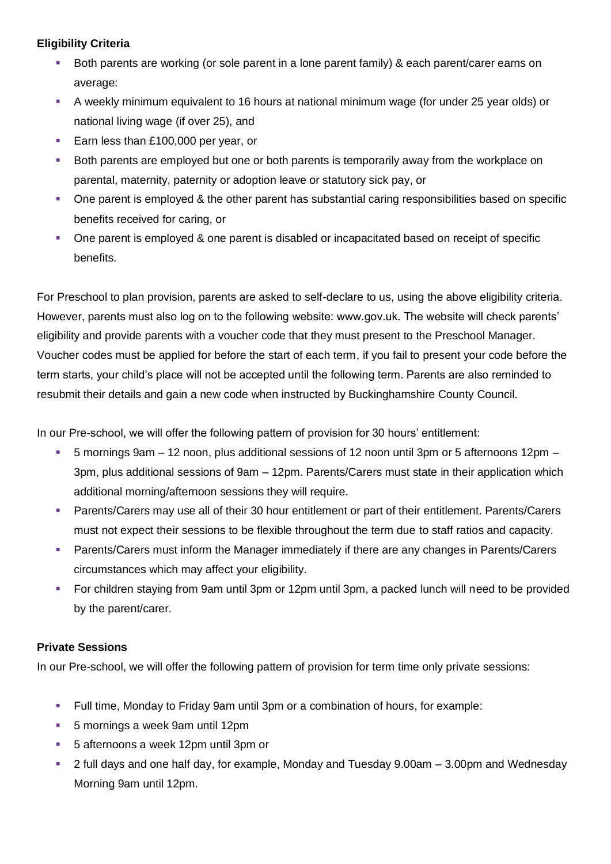# **Eligibility Criteria**

- Both parents are working (or sole parent in a lone parent family) & each parent/carer earns on average:
- A weekly minimum equivalent to 16 hours at national minimum wage (for under 25 year olds) or national living wage (if over 25), and
- Earn less than £100,000 per year, or
- **•** Both parents are employed but one or both parents is temporarily away from the workplace on parental, maternity, paternity or adoption leave or statutory sick pay, or
- One parent is employed & the other parent has substantial caring responsibilities based on specific benefits received for caring, or
- One parent is employed & one parent is disabled or incapacitated based on receipt of specific benefits.

For Preschool to plan provision, parents are asked to self-declare to us, using the above eligibility criteria. However, parents must also log on to the following website: www.gov.uk. The website will check parents' eligibility and provide parents with a voucher code that they must present to the Preschool Manager. Voucher codes must be applied for before the start of each term, if you fail to present your code before the term starts, your child's place will not be accepted until the following term. Parents are also reminded to resubmit their details and gain a new code when instructed by Buckinghamshire County Council.

In our Pre-school, we will offer the following pattern of provision for 30 hours' entitlement:

- 5 mornings 9am 12 noon, plus additional sessions of 12 noon until 3pm or 5 afternoons 12pm 3pm, plus additional sessions of 9am – 12pm. Parents/Carers must state in their application which additional morning/afternoon sessions they will require.
- Parents/Carers may use all of their 30 hour entitlement or part of their entitlement. Parents/Carers must not expect their sessions to be flexible throughout the term due to staff ratios and capacity.
- Parents/Carers must inform the Manager immediately if there are any changes in Parents/Carers circumstances which may affect your eligibility.
- For children staying from 9am until 3pm or 12pm until 3pm, a packed lunch will need to be provided by the parent/carer.

## **Private Sessions**

In our Pre-school, we will offer the following pattern of provision for term time only private sessions:

- Full time, Monday to Friday 9am until 3pm or a combination of hours, for example:
- 5 mornings a week 9am until 12pm
- 5 afternoons a week 12pm until 3pm or
- 2 full days and one half day, for example, Monday and Tuesday 9.00am 3.00pm and Wednesday Morning 9am until 12pm.